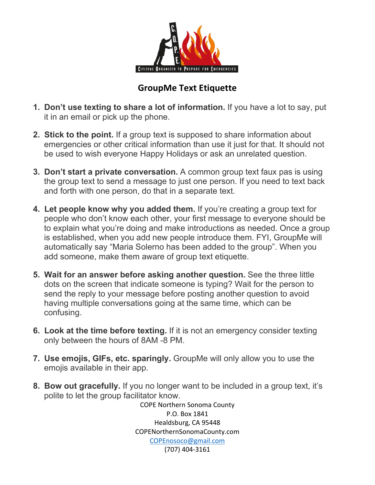

## **GroupMe Text Etiquette**

- **1. Don't use texting to share a lot of information.** If you have a lot to say, put it in an email or pick up the phone.
- **2. Stick to the point.** If a group text is supposed to share information about emergencies or other critical information than use it just for that. It should not be used to wish everyone Happy Holidays or ask an unrelated question.
- **3. Don't start a private conversation.** A common group text faux pas is using the group text to send a message to just one person. If you need to text back and forth with one person, do that in a separate text.
- **4. Let people know why you added them.** If you're creating a group text for people who don't know each other, your first message to everyone should be to explain what you're doing and make introductions as needed. Once a group is established, when you add new people introduce them. FYI, GroupMe will automatically say "Maria Solerno has been added to the group". When you add someone, make them aware of group text etiquette.
- **5. Wait for an answer before asking another question.** See the three little dots on the screen that indicate someone is typing? Wait for the person to send the reply to your message before posting another question to avoid having multiple conversations going at the same time, which can be confusing.
- **6. Look at the time before texting.** If it is not an emergency consider texting only between the hours of 8AM -8 PM.
- **7. Use emojis, GIFs, etc. sparingly.** GroupMe will only allow you to use the emojis available in their app.
- **8. Bow out gracefully.** If you no longer want to be included in a group text, it's polite to let the group facilitator know.

COPE Northern Sonoma County P.O. Box 1841 Healdsburg, CA 95448 COPENorthernSonomaCounty.com [COPEnosoco@gmail.com](mailto:COPEnosoco@gmail.com) (707) 404-3161